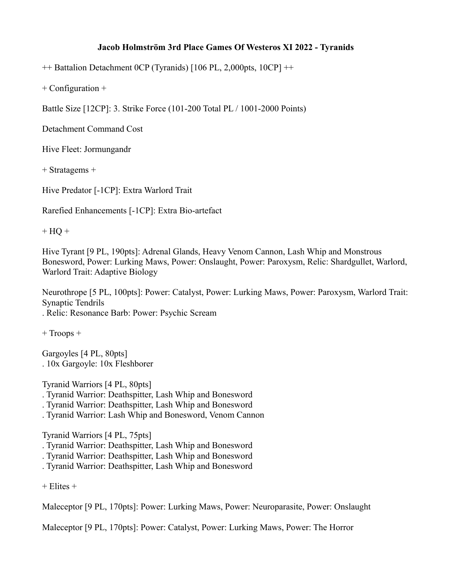## **Jacob Holmström 3rd Place Games Of Westeros XI 2022 - Tyranids**

++ Battalion Detachment 0CP (Tyranids) [106 PL, 2,000pts, 10CP] ++

+ Configuration +

Battle Size [12CP]: 3. Strike Force (101-200 Total PL / 1001-2000 Points)

Detachment Command Cost

Hive Fleet: Jormungandr

+ Stratagems +

Hive Predator [-1CP]: Extra Warlord Trait

Rarefied Enhancements [-1CP]: Extra Bio-artefact

 $+ HQ +$ 

Hive Tyrant [9 PL, 190pts]: Adrenal Glands, Heavy Venom Cannon, Lash Whip and Monstrous Bonesword, Power: Lurking Maws, Power: Onslaught, Power: Paroxysm, Relic: Shardgullet, Warlord, Warlord Trait: Adaptive Biology

Neurothrope [5 PL, 100pts]: Power: Catalyst, Power: Lurking Maws, Power: Paroxysm, Warlord Trait: Synaptic Tendrils

. Relic: Resonance Barb: Power: Psychic Scream

+ Troops +

Gargoyles [4 PL, 80pts] . 10x Gargoyle: 10x Fleshborer

Tyranid Warriors [4 PL, 80pts]

- . Tyranid Warrior: Deathspitter, Lash Whip and Bonesword
- . Tyranid Warrior: Deathspitter, Lash Whip and Bonesword
- . Tyranid Warrior: Lash Whip and Bonesword, Venom Cannon

Tyranid Warriors [4 PL, 75pts]

. Tyranid Warrior: Deathspitter, Lash Whip and Bonesword

- . Tyranid Warrior: Deathspitter, Lash Whip and Bonesword
- . Tyranid Warrior: Deathspitter, Lash Whip and Bonesword

 $+$  Elites  $+$ 

Maleceptor [9 PL, 170pts]: Power: Lurking Maws, Power: Neuroparasite, Power: Onslaught

Maleceptor [9 PL, 170pts]: Power: Catalyst, Power: Lurking Maws, Power: The Horror